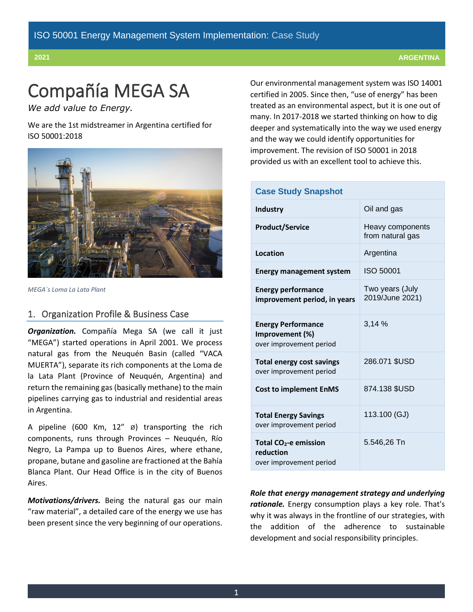# Compañía MEGA SA

*We add value to Energy.*

We are the 1st midstreamer in Argentina certified for ISO 50001:2018



*MEGA´s Loma La Lata Plant*

## 1. Organization Profile & Business Case

*Organization.* Compañía Mega SA (we call it just "MEGA") started operations in April 2001. We process natural gas from the Neuquén Basin (called "VACA MUERTA"), separate its rich components at the Loma de la Lata Plant (Province of Neuquén, Argentina) and return the remaining gas (basically methane) to the main pipelines carrying gas to industrial and residential areas in Argentina.

A pipeline (600 Km, 12" ø) transporting the rich components, runs through Provinces – Neuquén, Río Negro, La Pampa up to Buenos Aires, where ethane, propane, butane and gasoline are fractioned at the Bahía Blanca Plant. Our Head Office is in the city of Buenos Aires.

*Motivations/drivers.* Being the natural gas our main "raw material", a detailed care of the energy we use has been present since the very beginning of our operations. Our environmental management system was ISO 14001 certified in 2005. Since then, "use of energy" has been treated as an environmental aspect, but it is one out of many. In 2017-2018 we started thinking on how to dig deeper and systematically into the way we used energy and the way we could identify opportunities for improvement. The revision of ISO 50001 in 2018 provided us with an excellent tool to achieve this.

| <b>Case Study Snapshot</b>                                                |                                      |  |  |
|---------------------------------------------------------------------------|--------------------------------------|--|--|
| <b>Industry</b>                                                           | Oil and gas                          |  |  |
| <b>Product/Service</b>                                                    | Heavy components<br>from natural gas |  |  |
| Location                                                                  | Argentina                            |  |  |
| <b>Energy management system</b>                                           | <b>ISO 50001</b>                     |  |  |
| <b>Energy performance</b><br>improvement period, in years                 | Two years (July<br>2019/June 2021)   |  |  |
| <b>Energy Performance</b><br>Improvement (%)<br>over improvement period   | 3,14 %                               |  |  |
| <b>Total energy cost savings</b><br>over improvement period               | 286.071 \$USD                        |  |  |
| <b>Cost to implement EnMS</b>                                             | 874.138 \$USD                        |  |  |
| <b>Total Energy Savings</b><br>over improvement period                    | 113.100 (GJ)                         |  |  |
| Total CO <sub>2</sub> -e emission<br>reduction<br>over improvement period | 5.546,26 Tn                          |  |  |

*Role that energy management strategy and underlying rationale.* Energy consumption plays a key role. That's why it was always in the frontline of our strategies, with the addition of the adherence to sustainable development and social responsibility principles.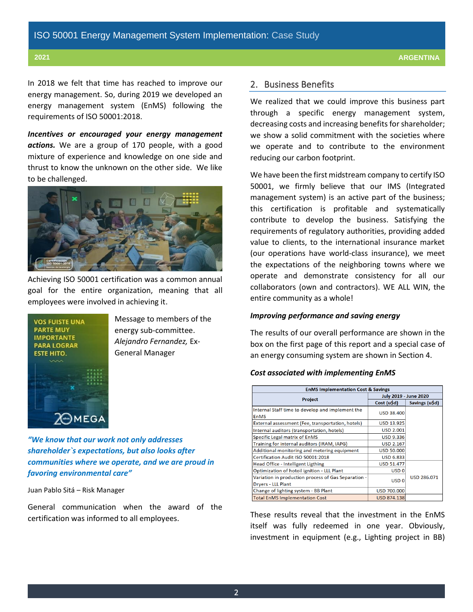In 2018 we felt that time has reached to improve our energy management. So, during 2019 we developed an energy management system (EnMS) following the requirements of ISO 50001:2018.

*Incentives or encouraged your energy management actions.* We are a group of 170 people, with a good mixture of experience and knowledge on one side and thrust to know the unknown on the other side. We like to be challenged.



Achieving ISO 50001 certification was a common annual goal for the entire organization, meaning that all employees were involved in achieving it.



Message to members of the energy sub-committee. *Alejandro Fernandez,* Ex-General Manager

*"We know that our work not only addresses shareholder`s expectations, but also looks after communities where we operate, and we are proud in favoring environmental care"*

Juan Pablo Sitá – Risk Manager

General communication when the award of the certification was informed to all employees.

#### 2. Business Benefits

We realized that we could improve this business part through a specific energy management system, decreasing costs and increasing benefits for shareholder; we show a solid commitment with the societies where we operate and to contribute to the environment reducing our carbon footprint.

We have been the first midstream company to certify ISO 50001, we firmly believe that our IMS (Integrated management system) is an active part of the business; this certification is profitable and systematically contribute to develop the business. Satisfying the requirements of regulatory authorities, providing added value to clients, to the international insurance market (our operations have world-class insurance), we meet the expectations of the neighboring towns where we operate and demonstrate consistency for all our collaborators (own and contractors). WE ALL WIN, the entire community as a whole!

#### *Improving performance and saving energy*

The results of our overall performance are shown in the box on the first page of this report and a special case of an energy consuming system are shown in Section 4.

#### *Cost associated with implementing EnMS*

| <b>EnMS Implementation Cost &amp; Savings</b>       |                       |                    |  |  |
|-----------------------------------------------------|-----------------------|--------------------|--|--|
|                                                     | July 2019 - June 2020 |                    |  |  |
| Project                                             | Cost (u\$d)           | Savings (u\$d)     |  |  |
| Internal Staff time to develop and implement the    | <b>USD 38,400</b>     |                    |  |  |
| <b>EnMS</b>                                         |                       |                    |  |  |
| External assessment (Fee, transportation, hotels)   | <b>USD 13.925</b>     |                    |  |  |
| Internal auditors (transportation, hotels)          | <b>USD 2.001</b>      |                    |  |  |
| Specific Legal matrix of EnMS                       | <b>USD 9.336</b>      |                    |  |  |
| Training for internal auditors (IRAM, IAPG)         | <b>USD 2.167</b>      |                    |  |  |
| Additional monitoring and metering equipment        | <b>USD 50.000</b>     |                    |  |  |
| Certification Audit ISO 50001:2018                  | <b>USD 6.833</b>      |                    |  |  |
| Head Office - Intelligent Ligthing                  | <b>USD 51.477</b>     |                    |  |  |
| Optimization of hotoil ignition - LLL Plant         | USD <sub>0</sub>      |                    |  |  |
| Variation in production process of Gas Separation - | USD <sub>0</sub>      | <b>USD 286.071</b> |  |  |
| Dryers - LLL Plant                                  |                       |                    |  |  |
| Change of lighting system - BB Plant                | <b>USD 700.000</b>    |                    |  |  |
| <b>Total EnMS Implementation Cost</b>               | <b>USD 874.138</b>    |                    |  |  |

These results reveal that the investment in the EnMS itself was fully redeemed in one year. Obviously, investment in equipment (e.g., Lighting project in BB)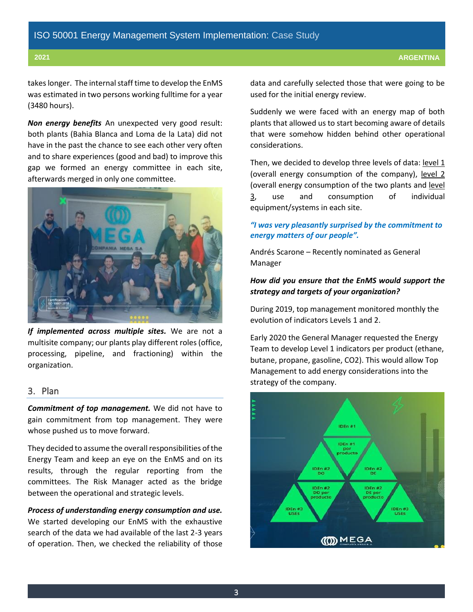takeslonger. The internal staff time to develop the EnMS was estimated in two persons working fulltime for a year (3480 hours).

*Non energy benefits* An unexpected very good result: both plants (Bahia Blanca and Loma de la Lata) did not have in the past the chance to see each other very often and to share experiences (good and bad) to improve this gap we formed an energy committee in each site, afterwards merged in only one committee.



*If implemented across multiple sites.* We are not a multisite company; our plants play different roles(office, processing, pipeline, and fractioning) within the organization.

## 3. Plan

*Commitment of top management.* We did not have to gain commitment from top management. They were whose pushed us to move forward.

They decided to assume the overall responsibilities of the Energy Team and keep an eye on the EnMS and on its results, through the regular reporting from the committees. The Risk Manager acted as the bridge between the operational and strategic levels.

*Process of understanding energy consumption and use.* We started developing our EnMS with the exhaustive search of the data we had available of the last 2-3 years of operation. Then, we checked the reliability of those data and carefully selected those that were going to be used for the initial energy review.

Suddenly we were faced with an energy map of both plants that allowed us to start becoming aware of details that were somehow hidden behind other operational considerations.

Then, we decided to develop three levels of data: level 1 (overall energy consumption of the company), level 2 (overall energy consumption of the two plants and level 3, use and consumption of individual equipment/systems in each site.

### *"I was very pleasantly surprised by the commitment to energy matters of our people".*

Andrés Scarone – Recently nominated as General Manager

## *How did you ensure that the EnMS would support the strategy and targets of your organization?*

During 2019, top management monitored monthly the evolution of indicators Levels 1 and 2.

Early 2020 the General Manager requested the Energy Team to develop Level 1 indicators per product (ethane, butane, propane, gasoline, CO2). This would allow Top Management to add energy considerations into the strategy of the company.

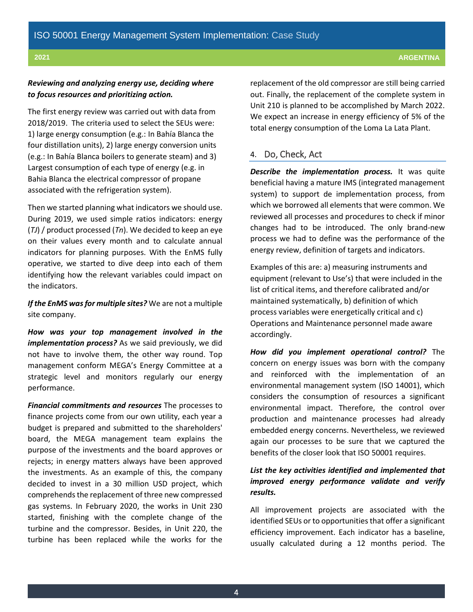### *Reviewing and analyzing energy use, deciding where to focus resources and prioritizing action.*

The first energy review was carried out with data from 2018/2019. The criteria used to select the SEUs were: 1) large energy consumption (e.g.: In Bahía Blanca the four distillation units), 2) large energy conversion units (e.g.: In Bahía Blanca boilers to generate steam) and 3) Largest consumption of each type of energy (e.g. in Bahia Blanca the electrical compressor of propane associated with the refrigeration system).

Then we started planning what indicators we should use. During 2019, we used simple ratios indicators: energy (*TJ*) / product processed (*Tn*). We decided to keep an eye on their values every month and to calculate annual indicators for planning purposes. With the EnMS fully operative, we started to dive deep into each of them identifying how the relevant variables could impact on the indicators.

*If the EnMS was for multiple sites?* We are not a multiple site company.

*How was your top management involved in the implementation process?* As we said previously, we did not have to involve them, the other way round. Top management conform MEGA's Energy Committee at a strategic level and monitors regularly our energy performance.

*Financial commitments and resources* The processes to finance projects come from our own utility, each year a budget is prepared and submitted to the shareholders' board, the MEGA management team explains the purpose of the investments and the board approves or rejects; in energy matters always have been approved the investments. As an example of this, the company decided to invest in a 30 million USD project, which comprehends the replacement of three new compressed gas systems. In February 2020, the works in Unit 230 started, finishing with the complete change of the turbine and the compressor. Besides, in Unit 220, the turbine has been replaced while the works for the replacement of the old compressor are still being carried out. Finally, the replacement of the complete system in Unit 210 is planned to be accomplished by March 2022. We expect an increase in energy efficiency of 5% of the total energy consumption of the Loma La Lata Plant.

## 4. Do, Check, Act

*Describe the implementation process.* It was quite beneficial having a mature IMS (integrated management system) to support de implementation process, from which we borrowed all elements that were common. We reviewed all processes and procedures to check if minor changes had to be introduced. The only brand-new process we had to define was the performance of the energy review, definition of targets and indicators.

Examples of this are: a) measuring instruments and equipment (relevant to Use's) that were included in the list of critical items, and therefore calibrated and/or maintained systematically, b) definition of which process variables were energetically critical and c) Operations and Maintenance personnel made aware accordingly.

*How did you implement operational control?* The concern on energy issues was born with the company and reinforced with the implementation of an environmental management system (ISO 14001), which considers the consumption of resources a significant environmental impact. Therefore, the control over production and maintenance processes had already embedded energy concerns. Nevertheless, we reviewed again our processes to be sure that we captured the benefits of the closer look that ISO 50001 requires.

## *List the key activities identified and implemented that improved energy performance validate and verify results.*

All improvement projects are associated with the identified SEUs or to opportunities that offer a significant efficiency improvement. Each indicator has a baseline, usually calculated during a 12 months period. The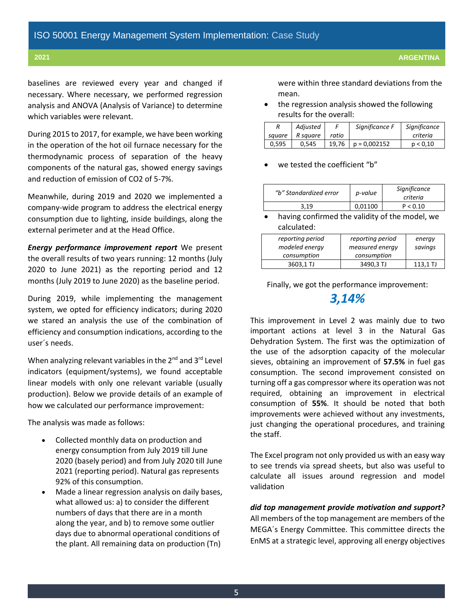baselines are reviewed every year and changed if necessary. Where necessary, we performed regression analysis and ANOVA (Analysis of Variance) to determine which variables were relevant.

During 2015 to 2017, for example, we have been working in the operation of the hot oil furnace necessary for the thermodynamic process of separation of the heavy components of the natural gas, showed energy savings and reduction of emission of CO2 of 5-7%.

Meanwhile, during 2019 and 2020 we implemented a company-wide program to address the electrical energy consumption due to lighting, inside buildings, along the external perimeter and at the Head Office.

*Energy performance improvement report* We present the overall results of two years running: 12 months (July 2020 to June 2021) as the reporting period and 12 months (July 2019 to June 2020) as the baseline period.

During 2019, while implementing the management system, we opted for efficiency indicators; during 2020 we stared an analysis the use of the combination of efficiency and consumption indications, according to the user´s needs.

When analyzing relevant variables in the  $2^{nd}$  and  $3^{rd}$  Level indicators (equipment/systems), we found acceptable linear models with only one relevant variable (usually production). Below we provide details of an example of how we calculated our performance improvement:

The analysis was made as follows:

- Collected monthly data on production and energy consumption from July 2019 till June 2020 (basely period) and from July 2020 till June 2021 (reporting period). Natural gas represents 92% of this consumption.
- Made a linear regression analysis on daily bases, what allowed us: a) to consider the different numbers of days that there are in a month along the year, and b) to remove some outlier days due to abnormal operational conditions of the plant. All remaining data on production (Tn)

were within three standard deviations from the mean.

• the regression analysis showed the following results for the overall:

|        | Adjusted |       | Significance F | Significance |
|--------|----------|-------|----------------|--------------|
| sauare | R sauare | ratio |                | criteria     |
| 0.595  | 0.545    | 19.76 | $p = 0.002152$ | p < 0.10     |

we tested the coefficient "b"

| "b" Standardized error | p-value | Significance<br>criteria |
|------------------------|---------|--------------------------|
| 3 19                   | 0.01100 | P < 0.10                 |

having confirmed the validity of the model, we calculated:

| reporting period | reporting period | energy   |
|------------------|------------------|----------|
| modeled energy   | measured energy  | savings  |
| consumption      | consumption      |          |
| 3603,1 TJ        | 3490,3 TJ        | 113.1 TJ |

Finally, we got the performance improvement:

## *3,14%*

This improvement in Level 2 was mainly due to two important actions at level 3 in the Natural Gas Dehydration System. The first was the optimization of the use of the adsorption capacity of the molecular sieves, obtaining an improvement of **57.5%** in fuel gas consumption. The second improvement consisted on turning off a gas compressor where its operation was not required, obtaining an improvement in electrical consumption of **55%**. It should be noted that both improvements were achieved without any investments, just changing the operational procedures, and training the staff.

The Excel program not only provided us with an easy way to see trends via spread sheets, but also was useful to calculate all issues around regression and model validation

*did top management provide motivation and support?* All members of the top management are members of the MEGA´s Energy Committee. This committee directs the EnMS at a strategic level, approving all energy objectives